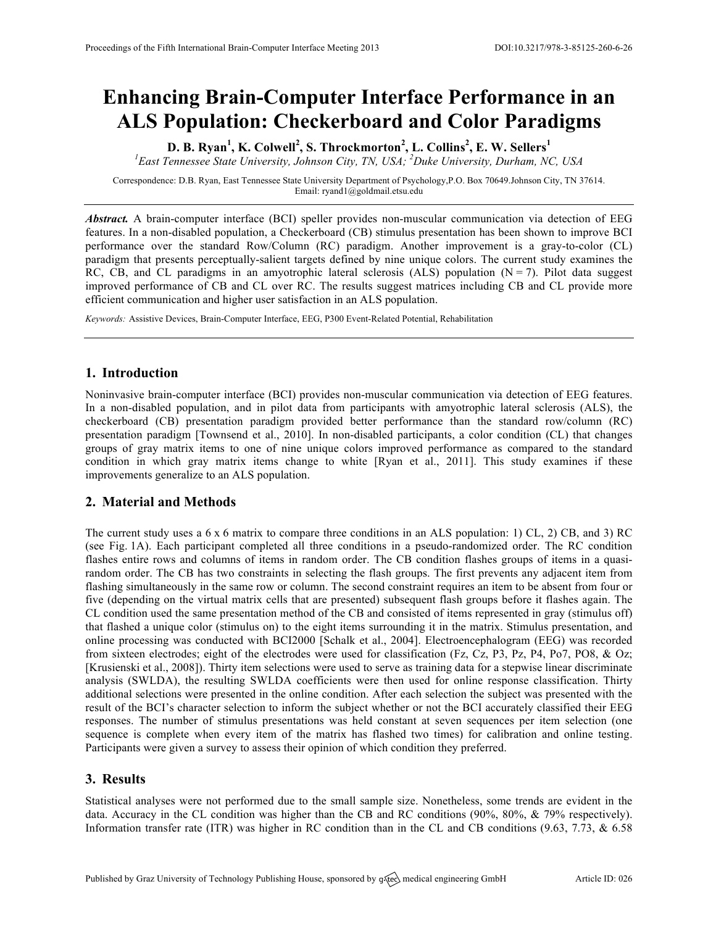# **Enhancing Brain-Computer Interface Performance in an ALS Population: Checkerboard and Color Paradigms**

**D. B. Ryan<sup>1</sup> , K. Colwell<sup>2</sup> , S. Throckmorton<sup>2</sup> , L. Collins<sup>2</sup> , E. W. Sellers<sup>1</sup>** *1 East Tennessee State University, Johnson City, TN, USA; <sup>2</sup> Duke University, Durham, NC, USA*

Correspondence: D.B. Ryan, East Tennessee State University Department of Psychology,P.O. Box 70649.Johnson City, TN 37614. Email: ryand1@goldmail.etsu.edu

*Abstract.* A brain-computer interface (BCI) speller provides non-muscular communication via detection of EEG features. In a non-disabled population, a Checkerboard (CB) stimulus presentation has been shown to improve BCI performance over the standard Row/Column (RC) paradigm. Another improvement is a gray-to-color (CL) paradigm that presents perceptually-salient targets defined by nine unique colors. The current study examines the RC, CB, and CL paradigms in an amyotrophic lateral sclerosis (ALS) population  $(N = 7)$ . Pilot data suggest improved performance of CB and CL over RC. The results suggest matrices including CB and CL provide more efficient communication and higher user satisfaction in an ALS population.

*Keywords:* Assistive Devices, Brain-Computer Interface, EEG, P300 Event-Related Potential, Rehabilitation

## **1. Introduction**

Noninvasive brain-computer interface (BCI) provides non-muscular communication via detection of EEG features. In a non-disabled population, and in pilot data from participants with amyotrophic lateral sclerosis (ALS), the checkerboard (CB) presentation paradigm provided better performance than the standard row/column (RC) presentation paradigm [Townsend et al., 2010]. In non-disabled participants, a color condition (CL) that changes groups of gray matrix items to one of nine unique colors improved performance as compared to the standard condition in which gray matrix items change to white [Ryan et al., 2011]. This study examines if these improvements generalize to an ALS population.

## **2. Material and Methods**

The current study uses a 6 x 6 matrix to compare three conditions in an ALS population: 1) CL, 2) CB, and 3) RC (see Fig. 1A). Each participant completed all three conditions in a pseudo-randomized order. The RC condition flashes entire rows and columns of items in random order. The CB condition flashes groups of items in a quasirandom order. The CB has two constraints in selecting the flash groups. The first prevents any adjacent item from flashing simultaneously in the same row or column. The second constraint requires an item to be absent from four or five (depending on the virtual matrix cells that are presented) subsequent flash groups before it flashes again. The CL condition used the same presentation method of the CB and consisted of items represented in gray (stimulus off) that flashed a unique color (stimulus on) to the eight items surrounding it in the matrix. Stimulus presentation, and online processing was conducted with BCI2000 [Schalk et al., 2004]. Electroencephalogram (EEG) was recorded from sixteen electrodes; eight of the electrodes were used for classification (Fz, Cz, P3, Pz, P4, Po7, PO8, & Oz; [Krusienski et al., 2008]). Thirty item selections were used to serve as training data for a stepwise linear discriminate analysis (SWLDA), the resulting SWLDA coefficients were then used for online response classification. Thirty additional selections were presented in the online condition. After each selection the subject was presented with the result of the BCI's character selection to inform the subject whether or not the BCI accurately classified their EEG responses. The number of stimulus presentations was held constant at seven sequences per item selection (one sequence is complete when every item of the matrix has flashed two times) for calibration and online testing. Participants were given a survey to assess their opinion of which condition they preferred.

#### **3. Results**

Statistical analyses were not performed due to the small sample size. Nonetheless, some trends are evident in the data. Accuracy in the CL condition was higher than the CB and RC conditions (90%, 80%, & 79% respectively). Information transfer rate (ITR) was higher in RC condition than in the CL and CB conditions (9.63, 7.73, & 6.58